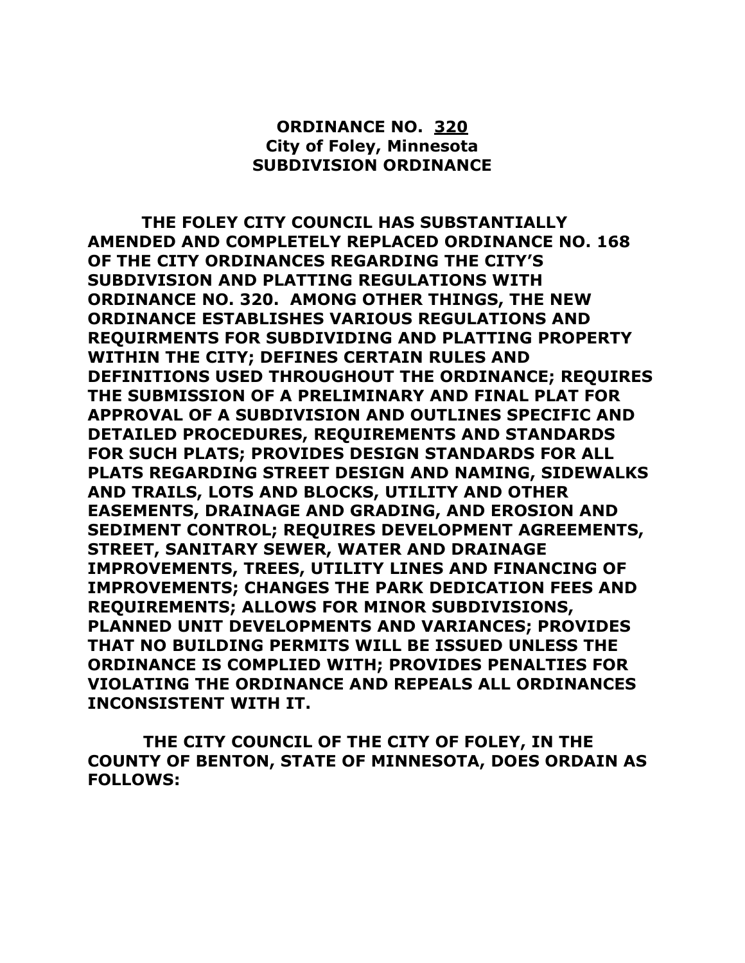## **ORDINANCE NO. 320 City of Foley, Minnesota SUBDIVISION ORDINANCE**

 **THE FOLEY CITY COUNCIL HAS SUBSTANTIALLY AMENDED AND COMPLETELY REPLACED ORDINANCE NO. 168 OF THE CITY ORDINANCES REGARDING THE CITY'S SUBDIVISION AND PLATTING REGULATIONS WITH ORDINANCE NO. 320. AMONG OTHER THINGS, THE NEW ORDINANCE ESTABLISHES VARIOUS REGULATIONS AND REQUIRMENTS FOR SUBDIVIDING AND PLATTING PROPERTY WITHIN THE CITY; DEFINES CERTAIN RULES AND DEFINITIONS USED THROUGHOUT THE ORDINANCE; REQUIRES THE SUBMISSION OF A PRELIMINARY AND FINAL PLAT FOR APPROVAL OF A SUBDIVISION AND OUTLINES SPECIFIC AND DETAILED PROCEDURES, REQUIREMENTS AND STANDARDS FOR SUCH PLATS; PROVIDES DESIGN STANDARDS FOR ALL PLATS REGARDING STREET DESIGN AND NAMING, SIDEWALKS AND TRAILS, LOTS AND BLOCKS, UTILITY AND OTHER EASEMENTS, DRAINAGE AND GRADING, AND EROSION AND SEDIMENT CONTROL; REQUIRES DEVELOPMENT AGREEMENTS, STREET, SANITARY SEWER, WATER AND DRAINAGE IMPROVEMENTS, TREES, UTILITY LINES AND FINANCING OF IMPROVEMENTS; CHANGES THE PARK DEDICATION FEES AND REQUIREMENTS; ALLOWS FOR MINOR SUBDIVISIONS, PLANNED UNIT DEVELOPMENTS AND VARIANCES; PROVIDES THAT NO BUILDING PERMITS WILL BE ISSUED UNLESS THE ORDINANCE IS COMPLIED WITH; PROVIDES PENALTIES FOR VIOLATING THE ORDINANCE AND REPEALS ALL ORDINANCES INCONSISTENT WITH IT.**

 **THE CITY COUNCIL OF THE CITY OF FOLEY, IN THE COUNTY OF BENTON, STATE OF MINNESOTA, DOES ORDAIN AS FOLLOWS:**